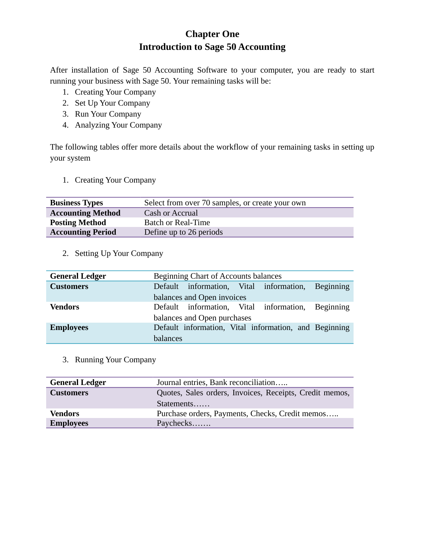# **Chapter One Introduction to Sage 50 Accounting**

After installation of Sage 50 Accounting Software to your computer, you are ready to start running your business with Sage 50. Your remaining tasks will be:

- 1. Creating Your Company
- 2. Set Up Your Company
- 3. Run Your Company
- 4. Analyzing Your Company

The following tables offer more details about the workflow of your remaining tasks in setting up your system

1. Creating Your Company

| <b>Business Types</b>    | Select from over 70 samples, or create your own |
|--------------------------|-------------------------------------------------|
| <b>Accounting Method</b> | Cash or Accrual                                 |
| <b>Posting Method</b>    | <b>Batch or Real-Time</b>                       |
| <b>Accounting Period</b> | Define up to 26 periods                         |

2. Setting Up Your Company

| <b>General Ledger</b> | Beginning Chart of Accounts balances |  |  |                                                       |  |
|-----------------------|--------------------------------------|--|--|-------------------------------------------------------|--|
| <b>Customers</b>      |                                      |  |  | Default information, Vital information, Beginning     |  |
|                       | balances and Open invoices           |  |  |                                                       |  |
| <b>Vendors</b>        |                                      |  |  | Default information, Vital information, Beginning     |  |
|                       | balances and Open purchases          |  |  |                                                       |  |
| <b>Employees</b>      |                                      |  |  | Default information, Vital information, and Beginning |  |
|                       | <b>balances</b>                      |  |  |                                                       |  |

3. Running Your Company

| <b>General Ledger</b> | Journal entries, Bank reconciliation                    |
|-----------------------|---------------------------------------------------------|
| <b>Customers</b>      | Quotes, Sales orders, Invoices, Receipts, Credit memos, |
|                       | Statements                                              |
| <b>Vendors</b>        | Purchase orders, Payments, Checks, Credit memos         |
| <b>Employees</b>      | Paychecks                                               |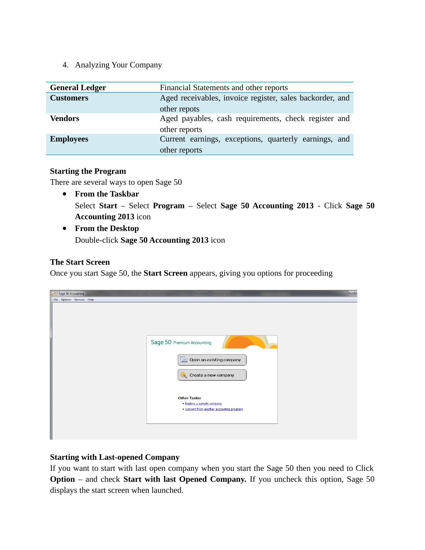## 4. Analyzing Your Company

| <b>General Ledger</b> | Financial Statements and other reports                   |  |  |
|-----------------------|----------------------------------------------------------|--|--|
| <b>Customers</b>      | Aged receivables, invoice register, sales backorder, and |  |  |
|                       | other repots                                             |  |  |
| <b>Vendors</b>        | Aged payables, cash requirements, check register and     |  |  |
|                       | other reports                                            |  |  |
| <b>Employees</b>      | Current earnings, exceptions, quarterly earnings, and    |  |  |
|                       | other reports                                            |  |  |

#### **Starting the Program**

There are several ways to open Sage 50

- **From the Taskbar** Select **Start** – Select **Program** – Select **Sage 50 Accounting 2013** - Click **Sage 50 Accounting 2013** icon
- **From the Desktop** Double-click **Sage 50 Accounting 2013** icon

## **The Start Screen**

Once you start Sage 50, the **Start Screen** appears, giving you options for proceeding

| * Sage 50 Accounting       | ادا                                                                                        |
|----------------------------|--------------------------------------------------------------------------------------------|
| File Options Services Help |                                                                                            |
|                            | Sage 50 Premium Accounting<br>$\Box$ Open an existing company<br>Create a new company      |
|                            | <b>Other Tasks:</b><br>Explore a sample company<br>Convert from another accounting program |
|                            |                                                                                            |

## **Starting with Last-opened Company**

If you want to start with last open company when you start the Sage 50 then you need to Click **Option** – and check **Start with last Opened Company.** If you uncheck this option, Sage 50 displays the start screen when launched.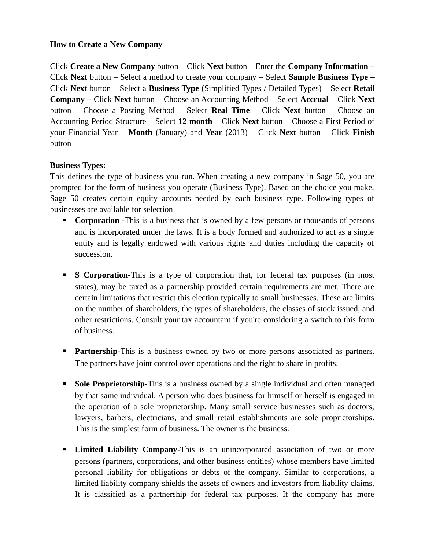## **How to Create a New Company**

Click **Create a New Company** button – Click **Next** button – Enter the **Company Information –** Click **Next** button – Select a method to create your company – Select **Sample Business Type –** Click **Next** button – Select a **Business Type** (Simplified Types / Detailed Types) – Select **Retail Company –** Click **Next** button – Choose an Accounting Method – Select **Accrual** – Click **Next** button – Choose a Posting Method – Select **Real Time** – Click **Next** button – Choose an Accounting Period Structure – Select **12 month** – Click **Next** button – Choose a First Period of your Financial Year – **Month** (January) and **Year** (2013) – Click **Next** button – Click **Finish** button

#### **Business Types:**

This defines the type of business you run. When creating a new company in Sage 50, you are prompted for the form of business you operate (Business Type). Based on the choice you make, Sage 50 creates certain [equity accounts](mk:@MSITStore:C:%5CPROGRA~1%5CSAGESO~1%5CPEACHT~1%5CHelp%5CPeachW.chm::/COMPANY/COMP_What_is_Equity.htm) needed by each business type. Following types of businesses are available for selection

- **Corporation** -This is a business that is owned by a few persons or thousands of persons and is incorporated under the laws. It is a body formed and authorized to act as a single entity and is legally endowed with various rights and duties including the capacity of succession.
- **S Corporation**-This is a type of corporation that, for federal tax purposes (in most states), may be taxed as a partnership provided certain requirements are met. There are certain limitations that restrict this election typically to small businesses. These are limits on the number of shareholders, the types of shareholders, the classes of stock issued, and other restrictions. Consult your tax accountant if you're considering a switch to this form of business.
- **Partnership-This is a business owned by two or more persons associated as partners.** The partners have joint control over operations and the right to share in profits.
- **Sole Proprietorship-This is a business owned by a single individual and often managed** by that same individual. A person who does business for himself or herself is engaged in the operation of a sole proprietorship. Many small service businesses such as doctors, lawyers, barbers, electricians, and small retail establishments are sole proprietorships. This is the simplest form of business. The owner is the business.
- **Limited Liability Company-This is an unincorporated association of two or more** persons (partners, corporations, and other business entities) whose members have limited personal liability for obligations or debts of the company. Similar to corporations, a limited liability company shields the assets of owners and investors from liability claims. It is classified as a partnership for federal tax purposes. If the company has more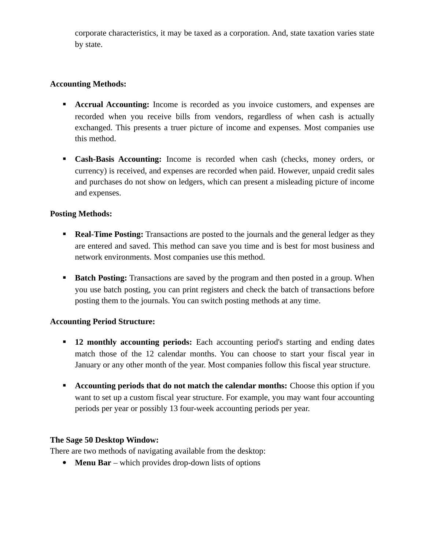corporate characteristics, it may be taxed as a corporation. And, state taxation varies state by state.

## **Accounting Methods:**

- **Accrual Accounting:** Income is recorded as you invoice customers, and expenses are recorded when you receive bills from vendors, regardless of when cash is actually exchanged. This presents a truer picture of income and expenses. Most companies use this method.
- **Cash-Basis Accounting:** Income is recorded when cash (checks, money orders, or currency) is received, and expenses are recorded when paid. However, unpaid credit sales and purchases do not show on ledgers, which can present a misleading picture of income and expenses.

## **Posting Methods:**

- **Real-Time Posting:** Transactions are posted to the journals and the general ledger as they are entered and saved. This method can save you time and is best for most business and network environments. Most companies use this method.
- **Batch Posting:** Transactions are saved by the program and then posted in a group. When you use batch posting, you can print registers and check the batch of transactions before posting them to the journals. You can switch posting methods at any time.

## **Accounting Period Structure:**

- **12 monthly accounting periods:** Each accounting period's starting and ending dates match those of the 12 calendar months. You can choose to start your fiscal year in January or any other month of the year. Most companies follow this fiscal year structure.
- **Accounting periods that do not match the calendar months:** Choose this option if you want to set up a custom fiscal year structure. For example, you may want four accounting periods per year or possibly 13 four-week accounting periods per year.

## **The Sage 50 Desktop Window:**

There are two methods of navigating available from the desktop:

**Menu Bar** – which provides drop-down lists of options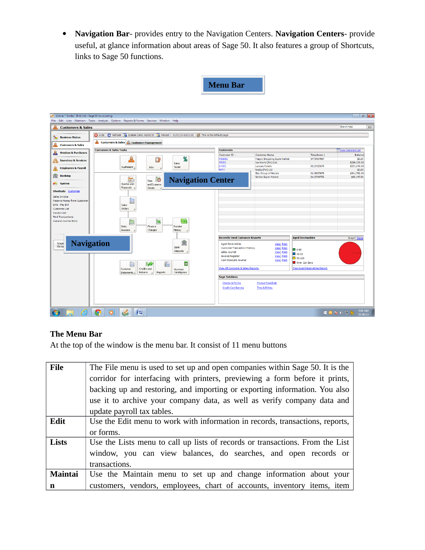**Navigation Bar**- provides entry to the Navigation Centers. **Navigation Centers**- provide useful, at glance information about areas of Sage 50. It also features a group of Shortcuts, links to Sage 50 functions.

|--|

| Active: * Smiles" (Pvt) Ltd - Sage 50 Accounting            | File Edit Lists Maintain Tasks Analysis Options Reports & Forms Services Window Help                                                                    |                                       |                                                          |                                     | $\overline{\phantom{a}}$ $\overline{\phantom{a}}$ $\overline{\phantom{a}}$ $\overline{\phantom{a}}$ |
|-------------------------------------------------------------|---------------------------------------------------------------------------------------------------------------------------------------------------------|---------------------------------------|----------------------------------------------------------|-------------------------------------|-----------------------------------------------------------------------------------------------------|
| <b>Customers &amp; Sales</b>                                |                                                                                                                                                         |                                       |                                                          |                                     | Search Help<br>$\boxed{60}$                                                                         |
| ъ<br><b>Business Status</b><br><b>Customers &amp; Sales</b> | Hide   C Refresh   The System Date: 08/05/15   The Period 1 - 01/01/15-01/31/15   2 This is the default page<br>Customers & Sales & Customer Management |                                       |                                                          |                                     |                                                                                                     |
|                                                             |                                                                                                                                                         |                                       |                                                          |                                     |                                                                                                     |
| $\partial \partial \phi$<br><b>Vendors &amp; Purchases</b>  | <b>Customers &amp; Sales Tasks</b>                                                                                                                      | <b>Customers</b>                      |                                                          |                                     | <b>Wiew Detailed List</b>                                                                           |
|                                                             |                                                                                                                                                         | Customer ID /                         | <b>Customer Name</b>                                     | Telephone 1                         | <b>Balance</b>                                                                                      |
| Ø.<br><b>Inventory &amp; Services</b>                       | %<br>$\Omega$<br>Ê                                                                                                                                      | <b>HSS001</b><br>IW001                | <b>Happy Shopping Supermarket</b><br>Ice World (Pvt) Ltd | 0773457987                          | \$0.00<br>\$296,150.00                                                                              |
|                                                             | Sales                                                                                                                                                   | LH001                                 | Leisure Hotels                                           | 0112425678                          | \$551.040.00                                                                                        |
| <b>Employees &amp; Payroll</b><br>⊕                         | Customers<br>Jobs<br>Taxes                                                                                                                              | N001                                  | Necta (Pvt) Ltd                                          |                                     | \$0.00                                                                                              |
|                                                             |                                                                                                                                                         |                                       | Star Group of Hotels                                     | 0115897678                          | \$541,760.00                                                                                        |
| m<br><b>Banking</b>                                         | Time $\overline{0}$<br>$\blacksquare$                                                                                                                   |                                       | <b>Smiles Super Market</b>                               | 0112768752                          | \$80,197.50                                                                                         |
| <b>AN System</b>                                            | <b>Navigation Center</b>                                                                                                                                |                                       |                                                          |                                     |                                                                                                     |
|                                                             | and Expense<br>Quotes and<br>Proposals 4<br>Tickets                                                                                                     |                                       |                                                          |                                     |                                                                                                     |
| <b>Shortcuts</b> Customize                                  |                                                                                                                                                         |                                       |                                                          |                                     |                                                                                                     |
| Sales Invoice                                               |                                                                                                                                                         |                                       |                                                          |                                     |                                                                                                     |
| <b>Receive Money from Customer</b>                          | İ                                                                                                                                                       |                                       |                                                          |                                     |                                                                                                     |
| <b>Bills - Pay Bill</b>                                     | Sales                                                                                                                                                   |                                       |                                                          |                                     |                                                                                                     |
| <b>CustomerList</b>                                         | Orders<br>×                                                                                                                                             |                                       |                                                          |                                     |                                                                                                     |
| <b>Vendor List</b>                                          |                                                                                                                                                         |                                       |                                                          |                                     |                                                                                                     |
| <b>Find Transactions</b>                                    |                                                                                                                                                         |                                       |                                                          |                                     |                                                                                                     |
| <b>General Journal Entry</b>                                | E<br><b>IG</b>                                                                                                                                          |                                       |                                                          |                                     |                                                                                                     |
|                                                             | نصا                                                                                                                                                     |                                       |                                                          |                                     |                                                                                                     |
|                                                             | Sales<br>Finance<br>Receive                                                                                                                             |                                       |                                                          |                                     |                                                                                                     |
|                                                             | Invoices<br>Charges<br>Money                                                                                                                            |                                       |                                                          |                                     |                                                                                                     |
|                                                             |                                                                                                                                                         | <b>Recently Used Customer Reports</b> |                                                          | <b>Aged Receivables</b>             | Graph Table                                                                                         |
|                                                             |                                                                                                                                                         |                                       |                                                          |                                     |                                                                                                     |
| <b>Navigation</b><br>Sage<br>Reso                           | 盫                                                                                                                                                       | <b>Aged Receivables</b>               | <b>View Print</b>                                        |                                     |                                                                                                     |
|                                                             | Bank                                                                                                                                                    | <b>Customer Transaction History</b>   | View Print                                               | 0.45                                |                                                                                                     |
|                                                             | Deposits                                                                                                                                                | Sales Journal                         | View Print                                               | $\blacksquare$ 46-90                |                                                                                                     |
|                                                             |                                                                                                                                                         | <b>Invoice Register</b>               | <b>View Print</b>                                        | $90-120$                            |                                                                                                     |
|                                                             |                                                                                                                                                         | Cash Receipts Journal                 | View Print                                               | Over 120 days                       |                                                                                                     |
|                                                             | 偏<br>亘<br>Fè                                                                                                                                            |                                       |                                                          |                                     |                                                                                                     |
|                                                             | Credits and<br>Customer<br><b>Business</b>                                                                                                              | View All Customer & Sales Reports     |                                                          | <b>View Aged Receivables Report</b> |                                                                                                     |
|                                                             | Intelligence<br>Returns<br>Reports<br>Statements 4                                                                                                      |                                       |                                                          |                                     |                                                                                                     |
|                                                             |                                                                                                                                                         | <b>Sage Solutions</b>                 |                                                          |                                     |                                                                                                     |
|                                                             |                                                                                                                                                         | <b>Checks &amp; Forms</b>             | <b>Product FeedBack</b>                                  |                                     |                                                                                                     |
|                                                             |                                                                                                                                                         | <b>Credit Card Service</b>            | Time & Billing                                           |                                     |                                                                                                     |
|                                                             |                                                                                                                                                         |                                       |                                                          |                                     |                                                                                                     |
|                                                             |                                                                                                                                                         |                                       |                                                          |                                     |                                                                                                     |
|                                                             |                                                                                                                                                         |                                       |                                                          |                                     |                                                                                                     |
|                                                             |                                                                                                                                                         |                                       |                                                          |                                     |                                                                                                     |
|                                                             |                                                                                                                                                         |                                       |                                                          |                                     |                                                                                                     |
| e                                                           | $\overline{\mathbf{o}}$<br>暨<br>C                                                                                                                       |                                       |                                                          |                                     | 9:00 AM<br>$\blacksquare$ 0 3 $\lozenge$ 2 $\lozenge$<br>05/08/15                                   |

# **The Menu Bar**

At the top of the window is the menu bar. It consist of 11 menu buttons

| File    | The File menu is used to set up and open companies within Sage 50. It is the  |
|---------|-------------------------------------------------------------------------------|
|         | corridor for interfacing with printers, previewing a form before it prints,   |
|         | backing up and restoring, and importing or exporting information. You also    |
|         | use it to archive your company data, as well as verify company data and       |
|         | update payroll tax tables.                                                    |
| Edit    | Use the Edit menu to work with information in records, transactions, reports, |
|         | or forms.                                                                     |
| Lists   | Use the Lists menu to call up lists of records or transactions. From the List |
|         | window, you can view balances, do searches, and open records or               |
|         | transactions.                                                                 |
| Maintai | Use the Maintain menu to set up and change information about your             |
| n       | customers, vendors, employees, chart of accounts, inventory items, item       |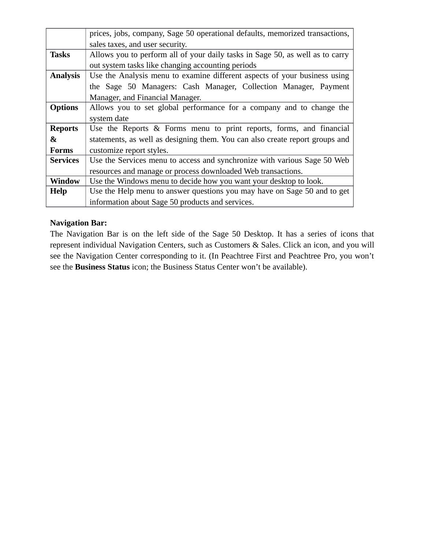|                       | prices, jobs, company, Sage 50 operational defaults, memorized transactions,  |
|-----------------------|-------------------------------------------------------------------------------|
|                       | sales taxes, and user security.                                               |
| <b>Tasks</b>          | Allows you to perform all of your daily tasks in Sage 50, as well as to carry |
|                       | out system tasks like changing accounting periods                             |
| <b>Analysis</b>       | Use the Analysis menu to examine different aspects of your business using     |
|                       | the Sage 50 Managers: Cash Manager, Collection Manager, Payment               |
|                       | Manager, and Financial Manager.                                               |
| <b>Options</b>        | Allows you to set global performance for a company and to change the          |
|                       | system date                                                                   |
| <b>Reports</b>        | Use the Reports & Forms menu to print reports, forms, and financial           |
| $\boldsymbol{\alpha}$ | statements, as well as designing them. You can also create report groups and  |
| <b>Forms</b>          | customize report styles.                                                      |
| <b>Services</b>       | Use the Services menu to access and synchronize with various Sage 50 Web      |
|                       | resources and manage or process downloaded Web transactions.                  |
| <b>Window</b>         | Use the Windows menu to decide how you want your desktop to look.             |
| <b>Help</b>           | Use the Help menu to answer questions you may have on Sage 50 and to get      |
|                       | information about Sage 50 products and services.                              |

## **Navigation Bar:**

The Navigation Bar is on the left side of the Sage 50 Desktop. It has a series of icons that represent individual Navigation Centers, such as Customers & Sales. Click an icon, and you will see the Navigation Center corresponding to it. (In Peachtree First and Peachtree Pro, you won't see the **Business Status** icon; the Business Status Center won't be available).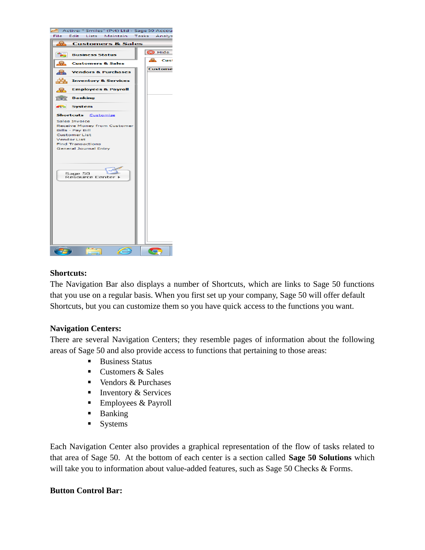

## **Shortcuts:**

The Navigation Bar also displays a number of Shortcuts, which are links to Sage 50 functions that you use on a regular basis. When you first set up your company, Sage 50 will offer default Shortcuts, but you can customize them so you have quick access to the functions you want.

#### **Navigation Centers:**

There are several Navigation Centers; they resemble pages of information about the following areas of Sage 50 and also provide access to functions that pertaining to those areas:

- **Business Status**
- Customers & Sales
- Vendors & Purchases
- **Inventory & Services**
- Employees & Payroll
- **Banking**
- **Systems**

Each Navigation Center also provides a graphical representation of the flow of tasks related to that area of Sage 50. At the bottom of each center is a section called **Sage 50 Solutions** which will take you to information about value-added features, such as Sage 50 Checks & Forms.

#### **Button Control Bar:**